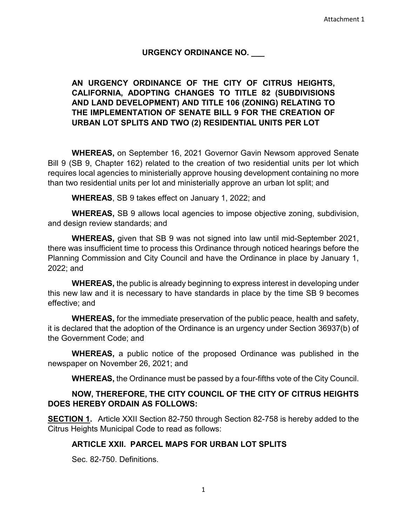#### **URGENCY ORDINANCE NO. \_\_\_**

## **AN URGENCY ORDINANCE OF THE CITY OF CITRUS HEIGHTS, CALIFORNIA, ADOPTING CHANGES TO TITLE 82 (SUBDIVISIONS AND LAND DEVELOPMENT) AND TITLE 106 (ZONING) RELATING TO THE IMPLEMENTATION OF SENATE BILL 9 FOR THE CREATION OF URBAN LOT SPLITS AND TWO (2) RESIDENTIAL UNITS PER LOT**

**WHEREAS,** on September 16, 2021 Governor Gavin Newsom approved Senate Bill 9 (SB 9, Chapter 162) related to the creation of two residential units per lot which requires local agencies to ministerially approve housing development containing no more than two residential units per lot and ministerially approve an urban lot split; and

**WHEREAS**, SB 9 takes effect on January 1, 2022; and

**WHEREAS,** SB 9 allows local agencies to impose objective zoning, subdivision, and design review standards; and

**WHEREAS,** given that SB 9 was not signed into law until mid-September 2021, there was insufficient time to process this Ordinance through noticed hearings before the Planning Commission and City Council and have the Ordinance in place by January 1, 2022; and

**WHEREAS,** the public is already beginning to express interest in developing under this new law and it is necessary to have standards in place by the time SB 9 becomes effective; and

**WHEREAS,** for the immediate preservation of the public peace, health and safety, it is declared that the adoption of the Ordinance is an urgency under Section 36937(b) of the Government Code; and

**WHEREAS,** a public notice of the proposed Ordinance was published in the newspaper on November 26, 2021; and

**WHEREAS,** the Ordinance must be passed by a four-fifths vote of the City Council.

### **NOW, THEREFORE, THE CITY COUNCIL OF THE CITY OF CITRUS HEIGHTS DOES HEREBY ORDAIN AS FOLLOWS:**

**SECTION 1.** Article XXII Section 82-750 through Section 82-758 is hereby added to the Citrus Heights Municipal Code to read as follows:

### **ARTICLE XXII. PARCEL MAPS FOR URBAN LOT SPLITS**

Sec. 82-750. Definitions.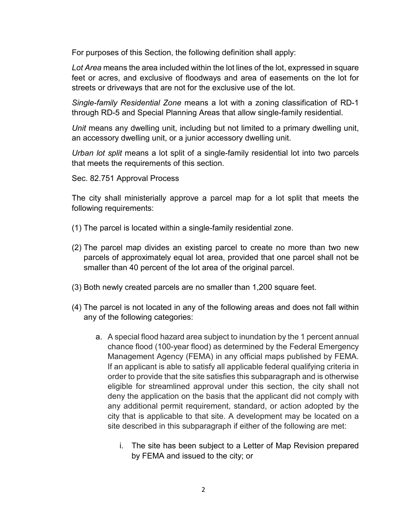For purposes of this Section, the following definition shall apply:

*Lot Area* means the area included within the lot lines of the lot, expressed in square feet or acres, and exclusive of floodways and area of easements on the lot for streets or driveways that are not for the exclusive use of the lot.

*Single-family Residential Zone* means a lot with a zoning classification of RD-1 through RD-5 and Special Planning Areas that allow single-family residential.

*Unit* means any dwelling unit, including but not limited to a primary dwelling unit, an accessory dwelling unit, or a junior accessory dwelling unit.

*Urban lot split* means a lot split of a single-family residential lot into two parcels that meets the requirements of this section.

Sec. 82.751 Approval Process

The city shall ministerially approve a parcel map for a lot split that meets the following requirements:

- (1) The parcel is located within a single-family residential zone.
- (2) The parcel map divides an existing parcel to create no more than two new parcels of approximately equal lot area, provided that one parcel shall not be smaller than 40 percent of the lot area of the original parcel.
- (3) Both newly created parcels are no smaller than 1,200 square feet.
- (4) The parcel is not located in any of the following areas and does not fall within any of the following categories:
	- a. A special flood hazard area subject to inundation by the 1 percent annual chance flood (100-year flood) as determined by the Federal Emergency Management Agency (FEMA) in any official maps published by FEMA. If an applicant is able to satisfy all applicable federal qualifying criteria in order to provide that the site satisfies this subparagraph and is otherwise eligible for streamlined approval under this section, the city shall not deny the application on the basis that the applicant did not comply with any additional permit requirement, standard, or action adopted by the city that is applicable to that site. A development may be located on a site described in this subparagraph if either of the following are met:
		- i. The site has been subject to a Letter of Map Revision prepared by FEMA and issued to the city; or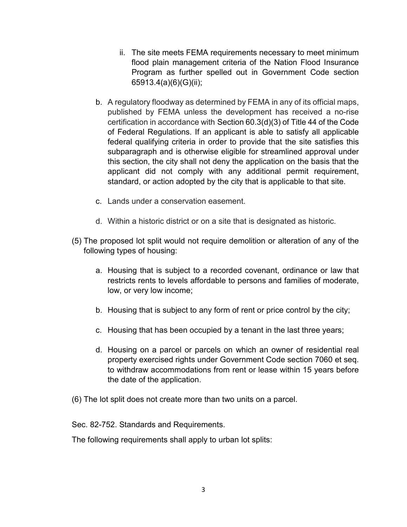- ii. The site meets FEMA requirements necessary to meet minimum flood plain management criteria of the Nation Flood Insurance Program as further spelled out in Government Code section 65913.4(a)(6)(G)(ii);
- b. A regulatory floodway as determined by FEMA in any of its official maps, published by FEMA unless the development has received a no-rise certification in accordance with Section [60.3\(d\)\(3\)](https://plus.lexis.com/document/?pdmfid=1530671&crid=3188e79d-d0fd-4077-bacc-85444c43ddb1&pddocfullpath=%2Fshared%2Fdocument%2Fstatutes-legislation%2Furn%3AcontentItem%3A63P4-4373-CH1B-T364-00000-00&pdcontentcomponentid=4867&pdteaserkey=&pdislpamode=false&pdworkfolderlocatorid=NOT_SAVED_IN_WORKFOLDER&ecomp=-t4hk&earg=sr0&prid=7e1e86a8-5b44-4756-b5fd-e5c4c9a334eb) of Title 44 of the Code of Federal [Regulations.](https://plus.lexis.com/document/?pdmfid=1530671&crid=3188e79d-d0fd-4077-bacc-85444c43ddb1&pddocfullpath=%2Fshared%2Fdocument%2Fstatutes-legislation%2Furn%3AcontentItem%3A63P4-4373-CH1B-T364-00000-00&pdcontentcomponentid=4867&pdteaserkey=&pdislpamode=false&pdworkfolderlocatorid=NOT_SAVED_IN_WORKFOLDER&ecomp=-t4hk&earg=sr0&prid=7e1e86a8-5b44-4756-b5fd-e5c4c9a334eb) If an applicant is able to satisfy all applicable federal qualifying criteria in order to provide that the site satisfies this subparagraph and is otherwise eligible for streamlined approval under this section, the city shall not deny the application on the basis that the applicant did not comply with any additional permit requirement, standard, or action adopted by the city that is applicable to that site.
- c. Lands under a conservation easement.
- d. Within a historic district or on a site that is designated as historic.
- (5) The proposed lot split would not require demolition or alteration of any of the following types of housing:
	- a. Housing that is subject to a recorded covenant, ordinance or law that restricts rents to levels affordable to persons and families of moderate, low, or very low income;
	- b. Housing that is subject to any form of rent or price control by the city;
	- c. Housing that has been occupied by a tenant in the last three years;
	- d. Housing on a parcel or parcels on which an owner of residential real property exercised rights under Government Code section 7060 et seq. to withdraw accommodations from rent or lease within 15 years before the date of the application.
- (6) The lot split does not create more than two units on a parcel.

Sec. 82-752. Standards and Requirements.

The following requirements shall apply to urban lot splits: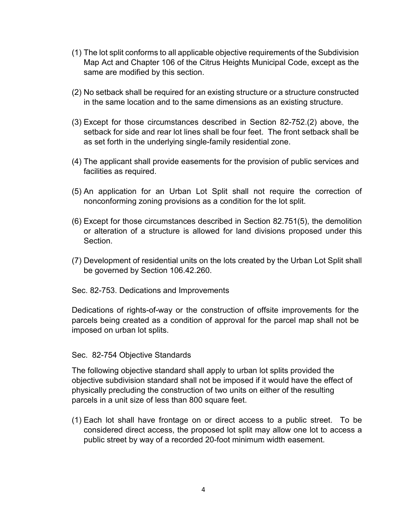- (1) The lot split conforms to all applicable objective requirements of the Subdivision Map Act and Chapter 106 of the Citrus Heights Municipal Code, except as the same are modified by this section.
- (2) No setback shall be required for an existing structure or a structure constructed in the same location and to the same dimensions as an existing structure.
- (3) Except for those circumstances described in Section 82-752.(2) above, the setback for side and rear lot lines shall be four feet. The front setback shall be as set forth in the underlying single-family residential zone.
- (4) The applicant shall provide easements for the provision of public services and facilities as required.
- (5) An application for an Urban Lot Split shall not require the correction of nonconforming zoning provisions as a condition for the lot split.
- (6) Except for those circumstances described in Section 82.751(5), the demolition or alteration of a structure is allowed for land divisions proposed under this Section.
- (7) Development of residential units on the lots created by the Urban Lot Split shall be governed by Section 106.42.260.
- Sec. 82-753. Dedications and Improvements

Dedications of rights-of-way or the construction of offsite improvements for the parcels being created as a condition of approval for the parcel map shall not be imposed on urban lot splits.

#### Sec. 82-754 Objective Standards

The following objective standard shall apply to urban lot splits provided the objective subdivision standard shall not be imposed if it would have the effect of physically precluding the construction of two units on either of the resulting parcels in a unit size of less than 800 square feet.

(1) Each lot shall have frontage on or direct access to a public street. To be considered direct access, the proposed lot split may allow one lot to access a public street by way of a recorded 20-foot minimum width easement.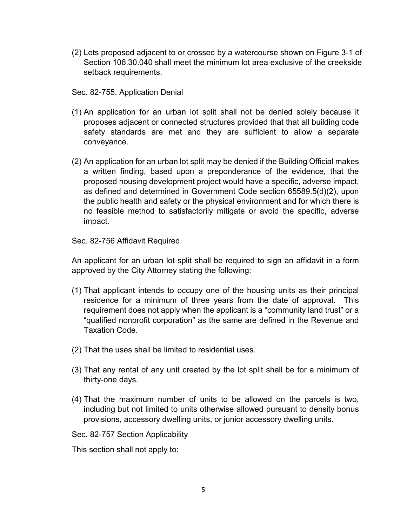(2) Lots proposed adjacent to or crossed by a watercourse shown on Figure 3-1 of Section 106.30.040 shall meet the minimum lot area exclusive of the creekside setback requirements.

Sec. 82-755. Application Denial

- (1) An application for an urban lot split shall not be denied solely because it proposes adjacent or connected structures provided that that all building code safety standards are met and they are sufficient to allow a separate conveyance.
- (2) An application for an urban lot split may be denied if the Building Official makes a written finding, based upon a preponderance of the evidence, that the proposed housing development project would have a specific, adverse impact, as defined and determined in Government Code section 65589.5(d)(2), upon the public health and safety or the physical environment and for which there is no feasible method to satisfactorily mitigate or avoid the specific, adverse impact.

Sec. 82-756 Affidavit Required

An applicant for an urban lot split shall be required to sign an affidavit in a form approved by the City Attorney stating the following:

- (1) That applicant intends to occupy one of the housing units as their principal residence for a minimum of three years from the date of approval. This requirement does not apply when the applicant is a "community land trust" or a "qualified nonprofit corporation" as the same are defined in the Revenue and Taxation Code.
- (2) That the uses shall be limited to residential uses.
- (3) That any rental of any unit created by the lot split shall be for a minimum of thirty-one days.
- (4) That the maximum number of units to be allowed on the parcels is two, including but not limited to units otherwise allowed pursuant to density bonus provisions, accessory dwelling units, or junior accessory dwelling units.

Sec. 82-757 Section Applicability

This section shall not apply to: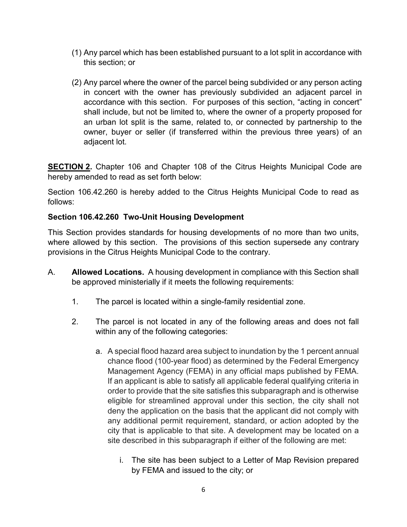- (1) Any parcel which has been established pursuant to a lot split in accordance with this section; or
- (2) Any parcel where the owner of the parcel being subdivided or any person acting in concert with the owner has previously subdivided an adjacent parcel in accordance with this section. For purposes of this section, "acting in concert" shall include, but not be limited to, where the owner of a property proposed for an urban lot split is the same, related to, or connected by partnership to the owner, buyer or seller (if transferred within the previous three years) of an adjacent lot.

**SECTION 2.** Chapter 106 and Chapter 108 of the Citrus Heights Municipal Code are hereby amended to read as set forth below:

Section 106.42.260 is hereby added to the Citrus Heights Municipal Code to read as follows:

# **Section 106.42.260 Two-Unit Housing Development**

This Section provides standards for housing developments of no more than two units, where allowed by this section. The provisions of this section supersede any contrary provisions in the Citrus Heights Municipal Code to the contrary.

- A. **Allowed Locations.** A housing development in compliance with this Section shall be approved ministerially if it meets the following requirements:
	- 1. The parcel is located within a single-family residential zone.
	- 2. The parcel is not located in any of the following areas and does not fall within any of the following categories:
		- a. A special flood hazard area subject to inundation by the 1 percent annual chance flood (100-year flood) as determined by the Federal Emergency Management Agency (FEMA) in any official maps published by FEMA. If an applicant is able to satisfy all applicable federal qualifying criteria in order to provide that the site satisfies this subparagraph and is otherwise eligible for streamlined approval under this section, the city shall not deny the application on the basis that the applicant did not comply with any additional permit requirement, standard, or action adopted by the city that is applicable to that site. A development may be located on a site described in this subparagraph if either of the following are met:
			- i. The site has been subject to a Letter of Map Revision prepared by FEMA and issued to the city; or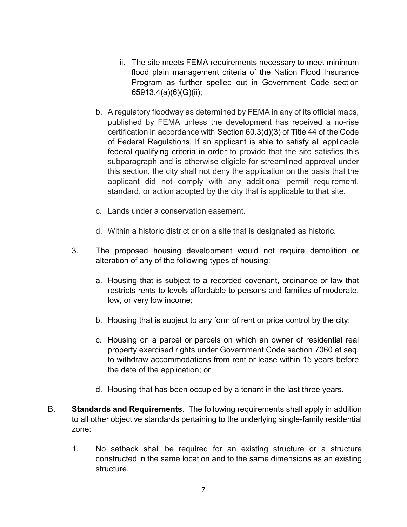- ii. The site meets FEMA requirements necessary to meet minimum flood plain management criteria of the Nation Flood Insurance Program as further spelled out in Government Code section 65913.4(a)(6)(G)(ii);
- b. A regulatory floodway as determined by FEMA in any of its official maps, published by FEMA unless the development has received a no-rise certification in accordance with Section [60.3\(d\)\(3\)](https://plus.lexis.com/document/?pdmfid=1530671&crid=3188e79d-d0fd-4077-bacc-85444c43ddb1&pddocfullpath=%2Fshared%2Fdocument%2Fstatutes-legislation%2Furn%3AcontentItem%3A63P4-4373-CH1B-T364-00000-00&pdcontentcomponentid=4867&pdteaserkey=&pdislpamode=false&pdworkfolderlocatorid=NOT_SAVED_IN_WORKFOLDER&ecomp=-t4hk&earg=sr0&prid=7e1e86a8-5b44-4756-b5fd-e5c4c9a334eb) of Title 44 of the Code of Federal [Regulations.](https://plus.lexis.com/document/?pdmfid=1530671&crid=3188e79d-d0fd-4077-bacc-85444c43ddb1&pddocfullpath=%2Fshared%2Fdocument%2Fstatutes-legislation%2Furn%3AcontentItem%3A63P4-4373-CH1B-T364-00000-00&pdcontentcomponentid=4867&pdteaserkey=&pdislpamode=false&pdworkfolderlocatorid=NOT_SAVED_IN_WORKFOLDER&ecomp=-t4hk&earg=sr0&prid=7e1e86a8-5b44-4756-b5fd-e5c4c9a334eb) If an applicant is able to satisfy all applicable federal qualifying criteria in order to provide that the site satisfies this subparagraph and is otherwise eligible for streamlined approval under this section, the city shall not deny the application on the basis that the applicant did not comply with any additional permit requirement, standard, or action adopted by the city that is applicable to that site.
- c. Lands under a conservation easement.
- d. Within a historic district or on a site that is designated as historic.
- 3. The proposed housing development would not require demolition or alteration of any of the following types of housing:
	- a. Housing that is subject to a recorded covenant, ordinance or law that restricts rents to levels affordable to persons and families of moderate, low, or very low income;
	- b. Housing that is subject to any form of rent or price control by the city;
	- c. Housing on a parcel or parcels on which an owner of residential real property exercised rights under Government Code section 7060 et seq. to withdraw accommodations from rent or lease within 15 years before the date of the application; or
	- d. Housing that has been occupied by a tenant in the last three years.
- B. **Standards and Requirements**. The following requirements shall apply in addition to all other objective standards pertaining to the underlying single-family residential zone:
	- 1. No setback shall be required for an existing structure or a structure constructed in the same location and to the same dimensions as an existing structure.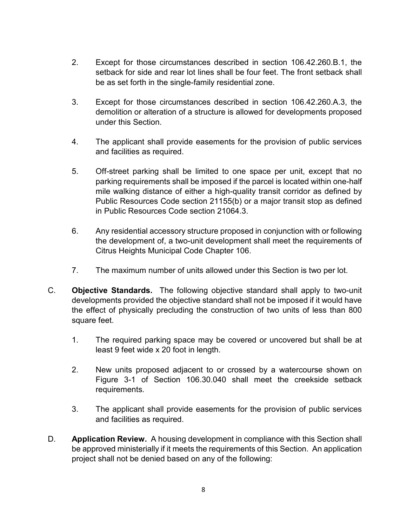- 2. Except for those circumstances described in section 106.42.260.B.1, the setback for side and rear lot lines shall be four feet. The front setback shall be as set forth in the single-family residential zone.
- 3. Except for those circumstances described in section 106.42.260.A.3, the demolition or alteration of a structure is allowed for developments proposed under this Section.
- 4. The applicant shall provide easements for the provision of public services and facilities as required.
- 5. Off-street parking shall be limited to one space per unit, except that no parking requirements shall be imposed if the parcel is located within one-half mile walking distance of either a high-quality transit corridor as defined by Public Resources Code section 21155(b) or a major transit stop as defined in Public Resources Code section 21064.3.
- 6. Any residential accessory structure proposed in conjunction with or following the development of, a two-unit development shall meet the requirements of Citrus Heights Municipal Code Chapter 106.
- 7. The maximum number of units allowed under this Section is two per lot.
- C. **Objective Standards.** The following objective standard shall apply to two-unit developments provided the objective standard shall not be imposed if it would have the effect of physically precluding the construction of two units of less than 800 square feet.
	- 1. The required parking space may be covered or uncovered but shall be at least 9 feet wide x 20 foot in length.
	- 2. New units proposed adjacent to or crossed by a watercourse shown on Figure 3-1 of Section 106.30.040 shall meet the creekside setback requirements.
	- 3. The applicant shall provide easements for the provision of public services and facilities as required.
- D. **Application Review.** A housing development in compliance with this Section shall be approved ministerially if it meets the requirements of this Section. An application project shall not be denied based on any of the following: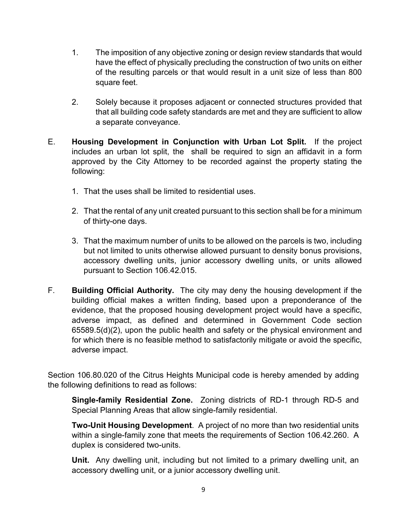- 1. The imposition of any objective zoning or design review standards that would have the effect of physically precluding the construction of two units on either of the resulting parcels or that would result in a unit size of less than 800 square feet.
- 2. Solely because it proposes adjacent or connected structures provided that that all building code safety standards are met and they are sufficient to allow a separate conveyance.
- E. **Housing Development in Conjunction with Urban Lot Split.** If the project includes an urban lot split, the shall be required to sign an affidavit in a form approved by the City Attorney to be recorded against the property stating the following:
	- 1. That the uses shall be limited to residential uses.
	- 2. That the rental of any unit created pursuant to this section shall be for a minimum of thirty-one days.
	- 3. That the maximum number of units to be allowed on the parcels is two, including but not limited to units otherwise allowed pursuant to density bonus provisions, accessory dwelling units, junior accessory dwelling units, or units allowed pursuant to Section 106.42.015.
- F. **Building Official Authority.** The city may deny the housing development if the building official makes a written finding, based upon a preponderance of the evidence, that the proposed housing development project would have a specific, adverse impact, as defined and determined in Government Code section 65589.5(d)(2), upon the public health and safety or the physical environment and for which there is no feasible method to satisfactorily mitigate or avoid the specific, adverse impact.

Section 106.80.020 of the Citrus Heights Municipal code is hereby amended by adding the following definitions to read as follows:

**Single-family Residential Zone.** Zoning districts of RD-1 through RD-5 and Special Planning Areas that allow single-family residential.

**Two-Unit Housing Development**. A project of no more than two residential units within a single-family zone that meets the requirements of Section 106.42.260. A duplex is considered two-units.

**Unit.** Any dwelling unit, including but not limited to a primary dwelling unit, an accessory dwelling unit, or a junior accessory dwelling unit.